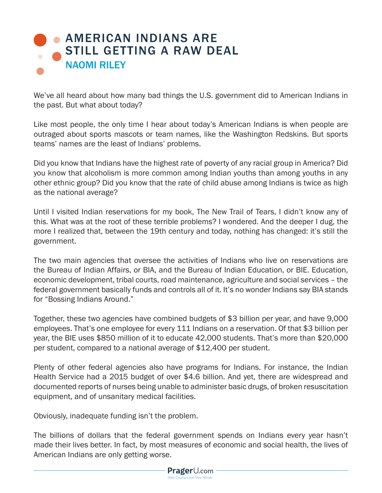## **• AMERICAN INDIANS ARE** [STILL GETTING A RAW DEAL](https://www.prageru.com/courses/political-science/american-indians-are-still-getting-raw-deal
) NAOMI RILEY

We've all heard about how many bad things the U.S. government did to American Indians in the past. But what about today?

Like most people, the only time I hear about today's American Indians is when people are outraged about sports mascots or team names, like the Washington Redskins. But sports teams' names are the least of Indians' problems.

Did you know that Indians have the highest rate of poverty of any racial group in America? Did you know that alcoholism is more common among Indian youths than among youths in any other ethnic group? Did you know that the rate of child abuse among Indians is twice as high as the national average?

Until I visited Indian reservations for my book, The New Trail of Tears, I didn't know any of this. What was at the root of these terrible problems? I wondered. And the deeper I dug, the more I realized that, between the 19th century and today, nothing has changed: it's still the government.

The two main agencies that oversee the activities of Indians who live on reservations are the Bureau of Indian Affairs, or BIA, and the Bureau of Indian Education, or BIE. Education, economic development, tribal courts, road maintenance, agriculture and social services – the federal government basically funds and controls all of it. It's no wonder Indians say BIA stands for "Bossing Indians Around."

Together, these two agencies have combined budgets of \$3 billion per year, and have 9,000 employees. That's one employee for every 111 Indians on a reservation. Of that \$3 billion per year, the BIE uses \$850 million of it to educate 42,000 students. That's more than \$20,000 per student, compared to a national average of \$12,400 per student.

Plenty of other federal agencies also have programs for Indians. For instance, the Indian Health Service had a 2015 budget of over \$4.6 billion. And yet, there are widespread and documented reports of nurses being unable to administer basic drugs, of broken resuscitation equipment, and of unsanitary medical facilities.

Obviously, inadequate funding isn't the problem.

The billions of dollars that the federal government spends on Indians every year hasn't made their lives better. In fact, by most measures of economic and social health, the lives of American Indians are only getting worse.